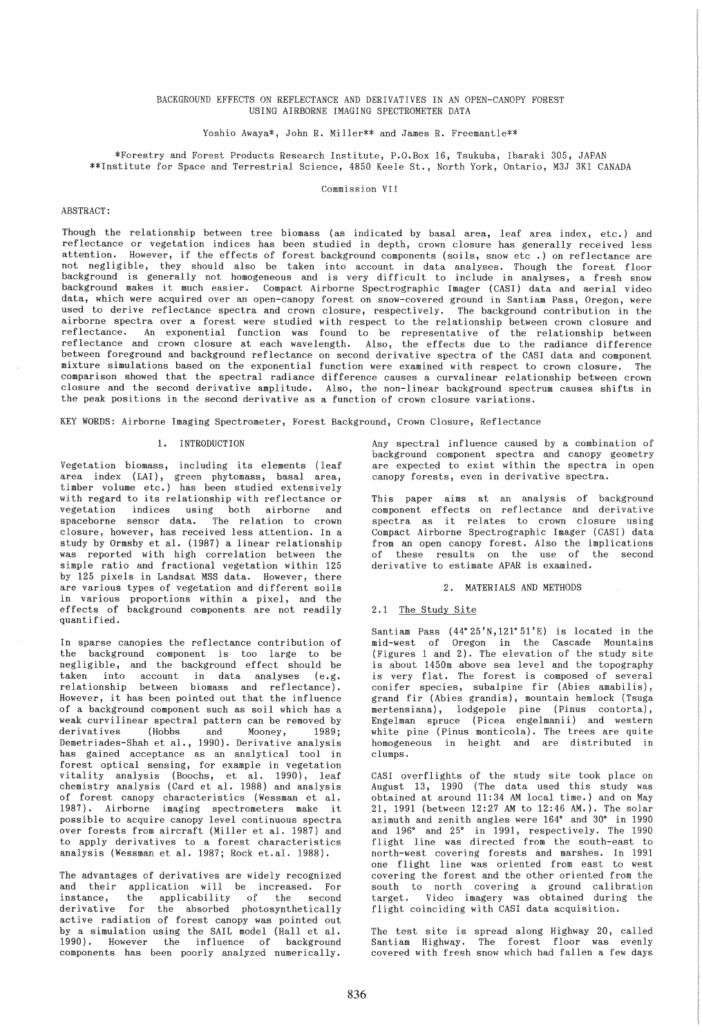## BACKGROUND EFFECTS ON REFLECTANCE AND DERIVATIVES IN AN OPEN-CANOPY FOREST USING AIRBORNE IMAGING SPECTROMETER DATA

Yoshio Awaya\*, John R. Miller\*\* and James R. Freemantle\*\*

\*Forestry and Forest Products Research Institute, P.O. Box 16, Tsukuba, Ibaraki 305, JAPAN \*\*Institute for Space and Terrestrial Science, 4850 Keele St., North York, Ontario, M3J 3K1 CANADA

Commission VII

# ABSTRACT:

Though the relationship between tree biomass (as indicated by basal area, leaf area index, etc.) and reflectance or vegetation indices has been studied in depth, crown closure has generally received less attention. However, if the effects of forest background components (soils, snow etc .) on reflectance are not negligible, they should also be taken into account in data analyses. Though the forest floor background is generally not homogeneous and is very difficult to include in analyses, a fresh snow background makes it much easier. Compact Airborne Spectrographic Imager (CASI) data and aerial video data, which were acquired over an open-canopy forest on snow-covered ground in Santiam Pass, Oregon, were used to derive reflectance spectra and crown closure, respectively. The background contribution in the airborne spectra over a forest were studied with respect to the relationship between crown closure and reflectance. An exponential function was found to be representative of the relationship between reflectance and crown closure at each wavelength. Also, the effects due to the radiance difference between foreground and background reflectance on second derivative spectra of the CASI data and component mixture simulations based on the exponential function were examined with respect to crown closure. The comparison showed that the spectral radiance difference causes a curvalinear relationship between crown closure and the second derivative amplitude. Also, the non-linear background spectrum causes shifts in the peak positions in the second derivative as a function of crown closure variations.

KEY WORDS: Airborne Imaging Spectrometer, Forest Background, Crown Closure, Reflectance

### 1. INTRODUCTION

Vegetation biomass, including its elements (leaf area index (LAI), green phytomass, basal area, timber volume etc.) has been studied extensively with regard to its relationship with reflectance or vegetation indices using both airborne and spaceborne sensor data. The relation to crown closure, however, has received less attention. In a study by Ormsby et al. (1987) a linear relationship was reported with high correlation between the simple ratio and fractional vegetation within 125 by 125 pixels in Landsat MSS data. However, there are various types of vegetation and different soils in various proportions within a pixel, and the effects of background components are not readily quantified.

In sparse canopies the reflectance contribution of the background component is too large to be negligible, and the background effect should be taken into account in data analyses (e.g. relationship between biomass and reflectance). However, it has been pointed out that the influence of a background component such as soil which has a weak curvilinear spectral pattern can be removed by derivatives (Hobbs and Mooney, 1989; Demetriades-Shah et al., 1990). Derivative analysis has gained acceptance as an analytical tool in forest optical sensing, for example in vegetation vitality analysis (Boochs, et al. 1990), leaf chemistry analysis (Card et al. 1988) and analysis of forest canopy characteristics (Wessman et al. 1987). Airborne imaging spectrometers make it possible to acquire canopy level continuous spectra over forests from aircraft (Miller et al. 1987) and to apply derivatives to a forest characteristics analysis (Wessman et al. 1987; Rock et.al. 1988).

The advantages of derivatives are widely recognized and their application will be increased. For<br>instance, the applicability of the second instance, the applicability of the second<br>derivative for the absorbed photosynthetically the absorbed photosynthetically active radiation of forest canopy was pointed out by a simulation using the SAIL model (Hall et al. 1990). However the influence of background components has been poorly analyzed numerically.

Any spectral influence caused by a combination of background component spectra and canopy geometry are expected to exist within the spectra in open canopy forests, even in derivative spectra.

This paper aims at an analysis of background component effects on reflectance and derivative spectra as it relates to crown closure using Compact Airborne Spectrographic Imager (CASI) data from an open canopy forest. Also the implications of these results on the use of the second derivative to estimate APAR is examined.

### 2. MATERIALS AND METHODS

### 2.1 The Study Site

Santiam Pass  $(44^{\circ} 25' N, 121^{\circ} 51' E)$  is located in the mid-west of Oregon in the Cascade Mountains (Figures 1 and 2). The elevation of the study site is about 1450m above sea level and the topography is very flat. The forest is composed of several conifer species, subalpine fir (Abies amabilis), grand fir (Abies grandis), mountain hemlock (Tsuga mertensiana), lodgepole pine (Pinus contorta), Engelman spruce (Picea engelmanii) and western white pine (Pinus monticola). The trees are quite homogeneous in height and are distributed in clumps.

CASI overflights of the study site took place on August 13, 1990 (The data used this study was obtained at around 11:34 AM local time.) and on May 21, 1991 (between 12:27 AM to 12:46 AM.). The solar azimuth and zenith angles were *1640* and 30° in 1990 and 196° and 25° in 1991, respectively. The 1990 flight line was directed from the south-east to north-west covering forests and marshes. In 1991 one flight line was oriented from east to west covering the forest and the other oriented from the south to north covering a ground calibration target. Video imagery was obtained during the flight coinciding with CASI data acquisition.

The test site is spread along Highway 20, called Santiam Highway. The forest floor was evenly covered with fresh snow which had fallen a few days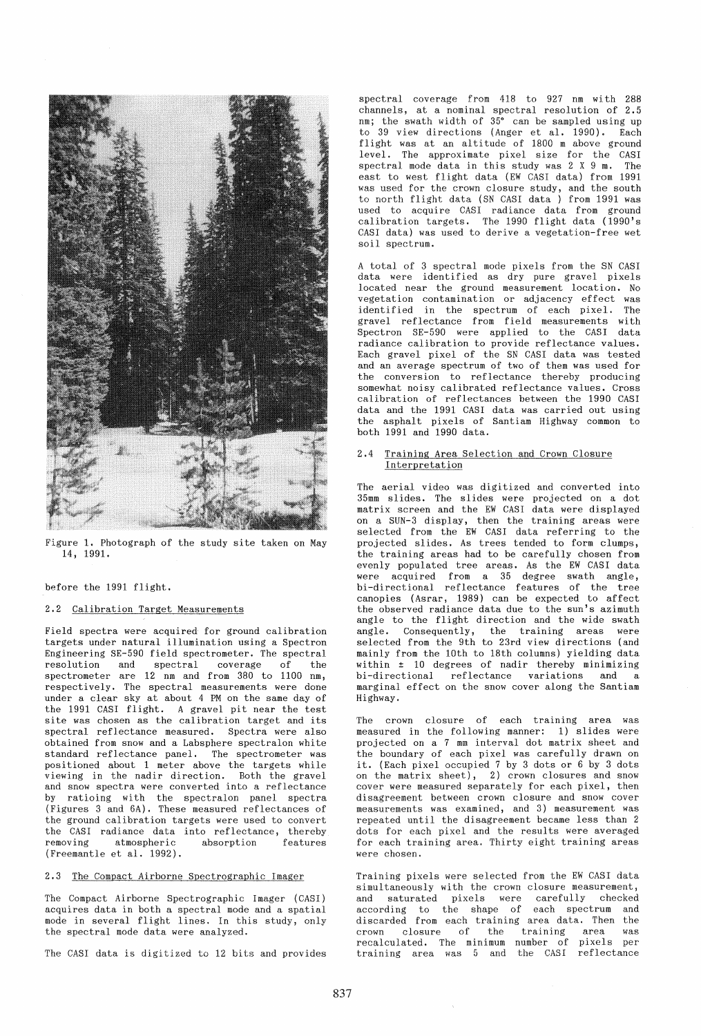

Figure 1. Photograph of the study site taken on May 14, 1991.

before the 1991 flight.

### 2.2 Calibration Target Measurements

Field spectra were acquired for ground calibration targets under natural illumination using a Spectron Engineering SE-590 field spectrometer. The spectral resolution and spectral coverage of the spectrometer are 12 nm and from 380 to 1100 nm, respectively. The spectral measurements were done under a clear sky at about 4 PM on the same day of the 1991 CASI flight. A gravel pit near the test site was chosen as the calibration target and its spectral reflectance measured. Spectra were also obtained from snow and a Labsphere spectralon white standard reflectance panel. The spectrometer was posi tioned about 1 meter above the targets while viewing in the nadir direction. Both the gravel and snow spectra were converted into a reflectance by ratioing with the spectralon panel spectra (Figures 3 and 6A). These measured reflectances of the ground calibration targets were used to convert the CASI radiance data into reflectance, thereby<br>removing atmospheric absorption features atmospheric (Freemantle et al. 1992).

#### 2.3 The Compact Airborne Spectrographic Imager

The Compact Airborne Spectrographic Imager (CASI) acquires data in both a spectral mode and a spatial mode in several flight lines. In this study, only the spectral mode data were analyzed.

The CASI data is digitized to 12 bits and provides

spectral coverage from 418 to 927 nm with 288 channels, at a nominal spectral resolution of 2.5 nm; the swath width of  $35^{\circ}$  can be sampled using up to 39 view directions (Anger et al. 1990). Each flight was at an altitude of 1800 m above ground level. The approximate pixel size for the CASI spectral mode data in this study was  $2 \times 9$  m. east to west flight data (EW CASI data) from 1991 was used for the crown closure study, and the south to north flight data (SN CASI data ) from 1991 was used to acquire CASI radiance data from ground calibration targets. The 1990 flight data (1990's CASI data) was used to derive a vegetation-free wet soil spectrum.

A total of 3 spectral mode pixels from the SN CASI data were identified as dry pure gravel pixels located near the ground measurement location. No vegetation contamination or adjacency effect was identified in the spectrum of each pixel. The gravel reflectance from field measurements with Spectron SE-590 were applied to the CAS! data radiance calibration to provide reflectance values. Each gravel pixel of the SN CASI data was tested and an average spectrum of two of them was used for the conversion to reflectance thereby producing somewhat noisy calibrated reflectance values. Cross calibration of reflectances between the 1990 CASI data and the 1991 CASI data was carried out using the asphalt pixels of Santiam Highway common to both 1991 and 1990 data.

# 2.4 Training Area Selection and Crown Closure Interpretation

The aerial video was digitized and converted into 35mm slides. The slides were projected on a dot matrix screen and the EW CASI data were displayed on a SUN-3 display, then the training areas were selected from the EW CASI data referring to the projected slides. As trees tended to form clumps, the training areas had to be carefully chosen from evenly populated tree areas. As the EW CASI data were acquired from a 35 degree swath angle, bi-directional reflectance features of the tree canopies (Asrar, 1989) can be expected to affect the observed radiance data due to the sun's azimuth angle to the flight direction and the wide swath angle. Consequently, the training areas were selected from the 9th to 23rd view directions (and mainly from the 10th to 18th columns) yielding data wi thin ± 10 degrees of nadir thereby minimizing bi-directional reflectance variations and a marginal effect on the snow cover along the Santiam Highway.

The crown closure of each training area was measured in the following manner: 1) slides were projected on a 7 mm interval dot matrix sheet and the boundary of each pixel was carefully drawn on it. (Each pixel occupied 7 by 3 dots or 6 by 3 dots on the matrix sheet), 2) crown closures and snow cover were measured separately for each pixel, then disagreement between crown closure and snow cover measurements was examined, and 3) measurement was repeated until the disagreement became less than 2 dots for each pixel and the results were averaged for each training area. Thirty eight training areas were chosen.

Training pixels were selected from the EW CASI data simultaneously with the crown closure measurement, and saturated pixels were carefully checked according to the shape of each spectrum and discarded from each training area data. Then the crown closure of the training area was crown closure of the training area was<br>recalculated. The minimum number of pixels per training area was 5 and the CASI reflectance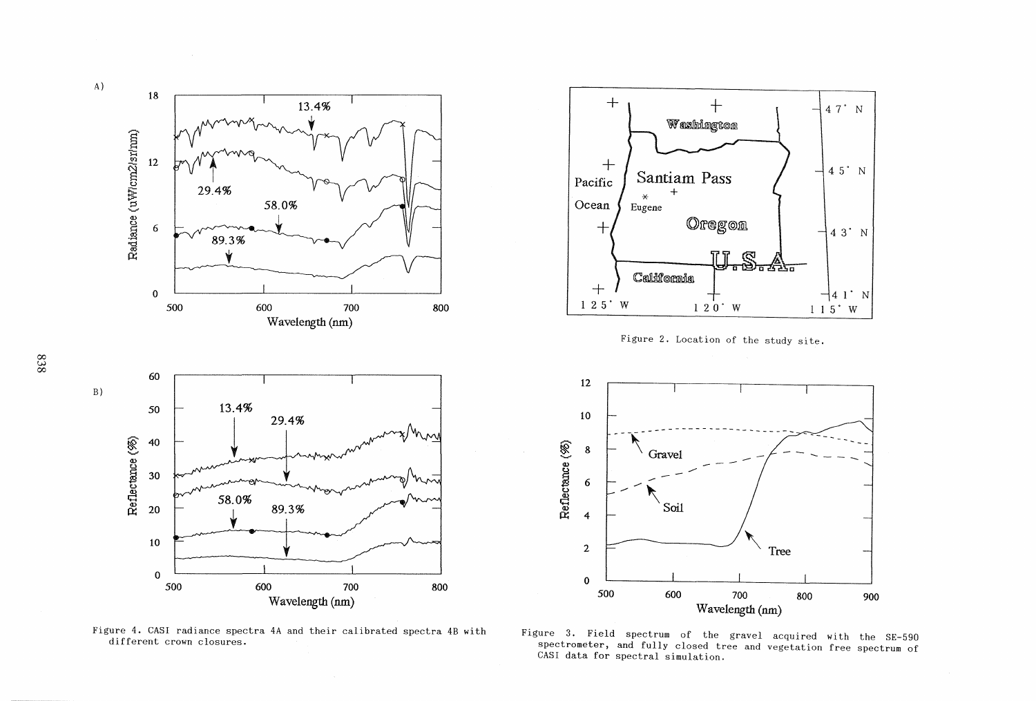



Figure 4. CASI radiance spectra 4A and their calibrated spectra 4B with different crown closures.

Figure 3. Field spectrum of the gravel acquired with the SE-590 spectrometer, and fully closed tree and vegetation free spectrum of CASI data for spectral simulation.

Wavelength (nm)

838<br>038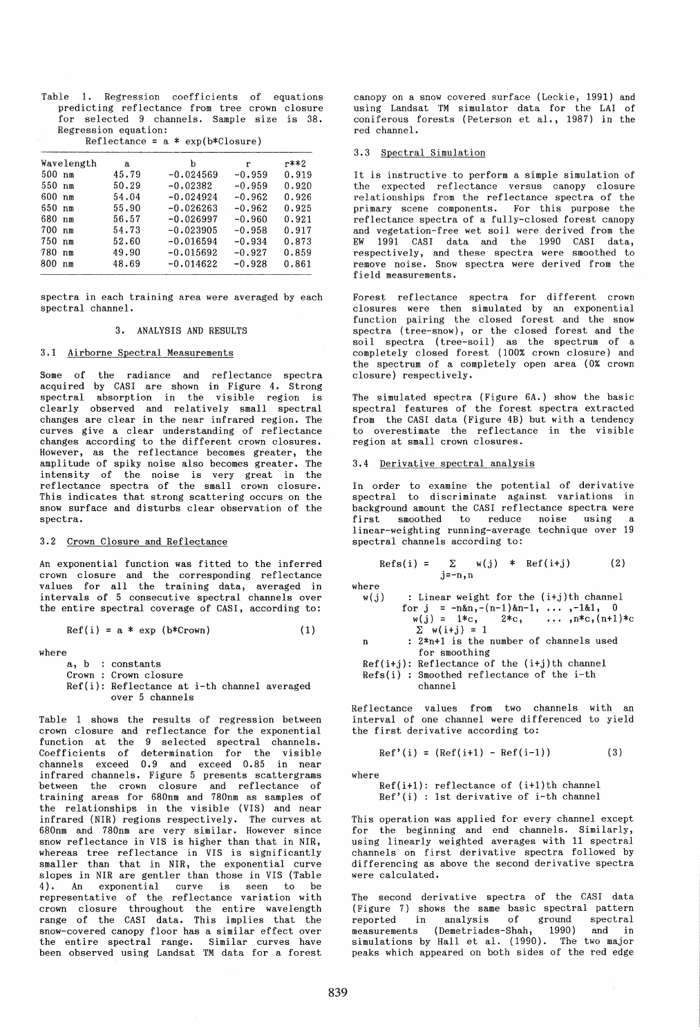Table 1. Regression coefficients of equations predicting reflectance from tree crown closure for selected 9 channels. Sample size is 38. Regression equation:

|  |  |  |  | Reflectance = $a * exp(b * C \log r)$ |
|--|--|--|--|---------------------------------------|
|--|--|--|--|---------------------------------------|

| Wavelength            | a     | b           | r        | r**2  |
|-----------------------|-------|-------------|----------|-------|
| 500 nm                | 45.79 | $-0.024569$ | $-0.959$ | 0.919 |
| 550 nm                | 50.29 | $-0.02382$  | $-0.959$ | 0.920 |
| 600<br>n <sub>m</sub> | 54.04 | $-0.024924$ | $-0.962$ | 0.926 |
| 650 nm                | 55.90 | $-0.026263$ | $-0.962$ | 0.925 |
| 680 nm                | 56.57 | $-0.026997$ | $-0.960$ | 0.921 |
| 700 nm                | 54.73 | $-0.023905$ | $-0.958$ | 0.917 |
| 750 nm                | 52.60 | $-0.016594$ | $-0.934$ | 0.873 |
| 780<br>n <sub>m</sub> | 49.90 | $-0.015692$ | $-0.927$ | 0.859 |
| 800.<br>nm            | 48.69 | $-0.014622$ | $-0.928$ | 0.861 |

spectra in each training area were averaged by each spectral channel.

# 3. ANALYSIS AND RESULTS

# 3.1 Airborne Spectral Measurements

Some of the radiance and reflectance spectra acquired by CASI are shown in Figure 4. Strong spectral absorption in the visible region is clearly observed and relatively small spectral changes are clear in the near infrared region. The curves give a clear understanding of reflectance changes according to the different crown closures. However, as the reflectance becomes greater, the amplitude of spiky noise also becomes greater. The intensity of the noise is very great in the ref lectance spectra of the small crown closure. This indicates that strong scattering occurs on the snow surface and disturbs clear observation of the spectra.

# 3.2 Crown Closure and Reflectance

An exponential function was fitted to the inferred crown closure and the corresponding reflectance values for all the training data, averaged in intervals of 5 consecutive spectral channels over the entire spectral coverage of CASI, according to:

$$
Ref(i) = a * exp (b * Crown)
$$
 (1)

where

|  | a, b : constants                             |  |
|--|----------------------------------------------|--|
|  | Crown : Crown closure                        |  |
|  | Ref(i): Reflectance at i-th channel averaged |  |
|  | over 5 channels                              |  |

Table 1 shows the results of regression between crown closure and reflectance for the exponential function at the 9 selected spectral channels. Coefficients of determination for the visible channels exceed 0.9 and exceed 0.85 in near infrared channels. Figure 5 presents scattergrams between the crown closure and reflectance of training areas for 680nm and 780nm as samples of the relationships in the visible (VIS) and near infrared (NIR) regions respectively. The curves at 680nm and 780nm are very similar. However since snow reflectance in VIS is higher than that in NIR, whereas tree reflectance in VIS is significantly smaller than that in NIR, the exponential curve slopes in NIR are gentler than those in VIS (Table 4). An exponential curve is seen to be representative of the reflectance variation with crown closure throughout the entire wavelength range of the CASI data. This implies that the snow-covered canopy floor has a similar effect over the entire spectral range. Similar curves have been observed using Landsat TM data for a forest canopy on a snow covered surface (Leckie, 1991) and using Landsat TM simulator data for the LAl of coniferous forests (Peterson et al., 1987) in the red channel.

# 3.3 Spectral Simulation

It is instructive to perform a simple simulation of the expected reflectance versus canopy closure relationships from the reflectance spectra of the primary scene components. For this purpose the reflectance spectra of a fully-closed forest canopy and vegetation-free wet soil were derived from the EW 1991 CASI data and the 1990 CASI data, respectively, and these spectra were smoothed to remove noise. Snow spectra were derived from the field measurements.

Forest reflectance spectra for different crown closures were then simulated by an exponential function pairing the closed forest and the snow spectra (tree-snow), or the closed forest and the soil spectra (tree-soil) as the spectrum of a completely closed forest (100% crown closure) and the spectrum of a completely open area (0% crown closure) respectively.

The simulated spectra (Figure 6A.) show the basic spectral features of the forest spectra extracted from the CASI data (Figure 4B) but with a tendency to overestimate the reflectance in the visible region at small crown closures.

## 3.4 Derivative spectral analysis

In order to examine the potential of derivative spectral to discriminate against variations in expround amount the CASI reflectance spectra were<br>first smoothed to reduce noise using a smoothed to reduce noise using linear-weighting running-average technique over 19 spectral channels according to:

| $\text{Refs}(i)$ = |  |  |  |  | $\Sigma$ w(j) * Ref(i+j) | (2) |
|--------------------|--|--|--|--|--------------------------|-----|
| $j=-n, n$          |  |  |  |  |                          |     |

where

 $w(j)$  : Linear weight for the  $(i+j)$ th channel for  $j = -n\&n,-(n-1)\&n-1, \ldots, -1\&1, 0$  $w(j) = 1*c, 2*c, ..., n*c, (n+1)*c$  $\Sigma$  w(i+j) = 1

n : 2\*n+1 is the number of channels used for smoothing

Ref(i+j): Reflectance of the (i+j)th channel Refs(i) : Smoothed reflectance of the i-th

channel

Reflectance values from two channels with an interval of one channel were differenced to yield the first derivative according to:

$$
Ref'(i) = (Ref(i+1) - Ref(i-1))
$$
 (3)

where

Ref(i+l): reflectance of (i+l)th channel Ref'(i) : 1st derivative of i-th channel

This operation was applied for every channel except for the beginning and end channels. Similarly, using linearly weighted averages with 11 spectral channels on first derivative spectra followed by differencing as above the second derivative spectra were calculated.

The second derivative spectra of the CASI data (Figure 7) shows the same basic spectral pattern reported in analysis of ground spectral measurements (Demetriades-Shah, 1990) and in<br>simulations by Hall et al. (1990). The two major peaks which appeared on both sides of the red edge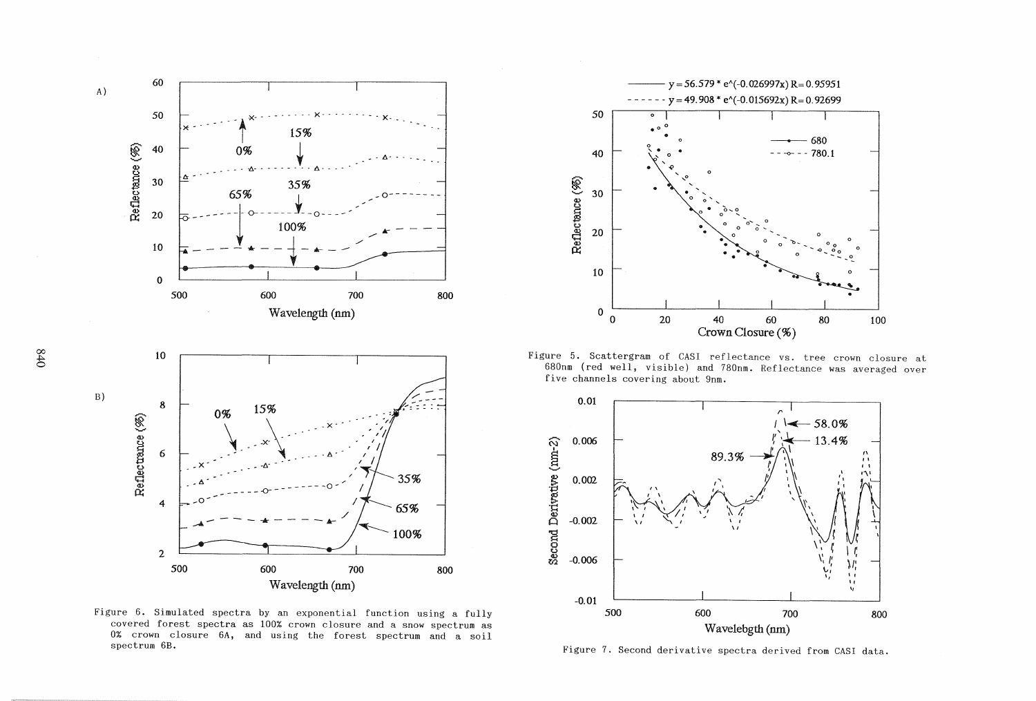

Figure 6. Simulated spectra by an exponential function using a fully covered forest spectra as 100% crown closure and a snow spectrum as 0% crown closure 6A, and using the forest spectrum and a soil spectrum 6B.



Figure 5. Scattergram of CASI reflectance vs. tree crown closure at 680nm (red well, visible) and 780nm. Reflectance was averaged over five channels covering about 9nm.



Figure *7.* Second derivative spectra derived from CASI data.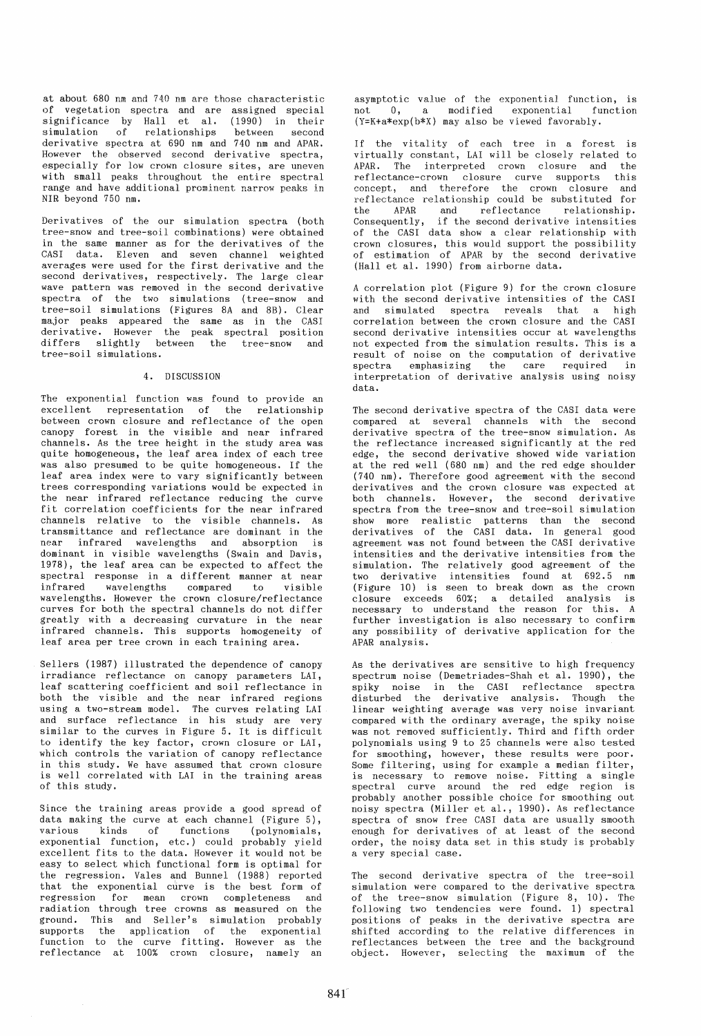at about 680 nm and 740 nm are those characteristic of vegetation spectra and are assigned special significance by Hall et al. (1990) in their simulation of relationships between second derivative spectra at 690 nm and 740 nm and APAR. However the observed second derivative spectra, especially for low crown closure sites, are uneven with small peaks throughout the entire spectral range and have additional prominent narrow peaks in NIR beyond 750 nm.

Derivatives of the our simulation spectra (both tree-snow and tree-soil combinations) were obtained in the same manner as for the derivatives of the CASI data. Eleven and seven channel weighted averages were used for the first derivative and the second derivatives, respectively. The large clear wave pattern was removed in the second derivative spectra of the two simulations (tree-snow and tree-soil simulations (Figures 8A and 8B). Clear major peaks appeared the same as in the CASI derivative. However the peak spectral position differs slightly between the tree-snow and tree-soil simulations.

### 4. DISCUSSION

The exponential function was found to provide an excellent representation of the relationship between crown closure and reflectance of the open canopy forest in the visible and near infrared channels. As the tree height in the study area was quite homogeneous, the leaf area index of each tree was also presumed to be quite homogeneous. If the leaf area index were to vary significantly between trees corresponding variations would be expected in the near infrared reflectance reducing the curve fit correlation coefficients for the near infrared channels relative to the visible channels. As transmi ttance and reflectance are dominant in the near infrared wavelengths and absorption is dominant in visible wavelengths (Swain and Davis, 1978), the leaf area can be expected to affect the spectral response in a different manner at near<br>infrared wavelengths compared to visible wavelengths compared wavelengths. However the crown closure/reflectance curves for both the spectral channels do not differ greatly with a decreasing curvature in the near infrared channels. This supports homogeneity of leaf area per tree crown in each training area.

Sellers (1987) illustrated the dependence of canopy irradiance reflectance on canopy parameters LAI, leaf scattering coefficient and soil reflectance in both the visible and the near infrared regions using a two-stream model. The curves relating LAI and surface reflectance in his study are very similar to the curves in Figure 5. It is difficult to identify the key factor, crown closure or LAI, which controls the variation of canopy reflectance in this study. We have assumed that crown closure is well correlated with LAI in the training areas of this study.

Since the training areas provide a good spread of data making the curve at each channel (Figure 5), various kinds of functions (polynomials, exponential function, etc.) could probably yield excellent fits to the data. However it would not be easy to select which functional form is optimal for the regression. Vales and Bunnel (1988) reported that the exponential curve is the best form of regression for mean crown completeness and radiation through tree crowns as measured on the ground. This and Seller's simulation probably supports the application of the exponential function to the curve fitting. However as the reflectance at 100% crown closure, namely an

asymptotic value of the exponential function, is not 0, a modified exponential function (Y=K+a\*exp(b\*X) may also be viewed favorably.

If the vitality of each tree in a forest is virtually constant, LAI will be closely related to APAR. The interpreted crown closure and the reflectance-crown closure curve supports this concept, and therefore the crown closure and reflectance relationship could be substituted for the APAR and reflectance relationship.<br>Consequently, if the second-derivative intensities if the second derivative intensities of the CASI data show a clear relationship with crown closures, this would support the possibility of estimation of APAR by the second derivative (Hall et al. 1990) from airborne data.

A correlation plot (Figure 9) for the crown closure with the second derivative intensities of the CASI and simulated spectra reveals that a high correlation between the crown closure and the CASI second derivative intensities occur at wavelengths not expected from the simulation results. This is a result of noise on the computation of derivative spectra emphasizing the care required in interpretation of derivative analysis using noisy data.

The second derivative spectra of the CASI data were compared at several channels with the second derivative spectra of the tree-snow simulation. As the reflectance increased significantly at the red edge, the second derivative showed wide variation at the red well (680 nm) and the red edge shoulder (740 nm). Therefore good agreement with the second derivatives and the crown closure was expected at both channels. However, the second derivative spectra from the tree-snow and tree-soil simulation show more realistic patterns than the second derivatives of the CASI data. In general good agreement was not found between the CASI derivative intensities and the derivative intensities from the simulation. The relatively good agreement of the two derivative intensities found at 692.5 nm (Figure 10) is seen to break down as the crown closure exceeds 60%; a detailed analysis is necessary to understand the reason for this. A further investigation is also necessary to confirm any possibility of derivative application for the APAR analysis.

As the derivatives are sensitive to high frequency spectrum noise (Demetriades-Shah et al. 1990), the spiky noise in the CASI reflectance spectra disturbed the derivative analysis. Though the linear weighting average was very noise invariant compared with the ordinary average, the spiky noise was not removed sufficiently. Third and fifth order polynomials using 9 to 25 channels were also tested for smoothing, however, these results were poor. Some filtering, using for example a median filter, is necessary to remove noise. Fitting a single spectral curve around the red edge region is probably another possible choice for smoothing out noisy spectra (Miller et al., 1990). As reflectance spectra of snow free CASI data are usually smooth enough for derivatives of at least of the second order, the noisy data set in this study is probably a very special case.

The second derivative spectra of the tree-soil simulation were compared to the derivative spectra of the tree-snow simulation (Figure 8, 10). The following two tendencies were found. 1) spectral positions of peaks in the derivative spectra are shifted according to the relative differences in reflectances between the tree and the background object. However, selecting the maximum of the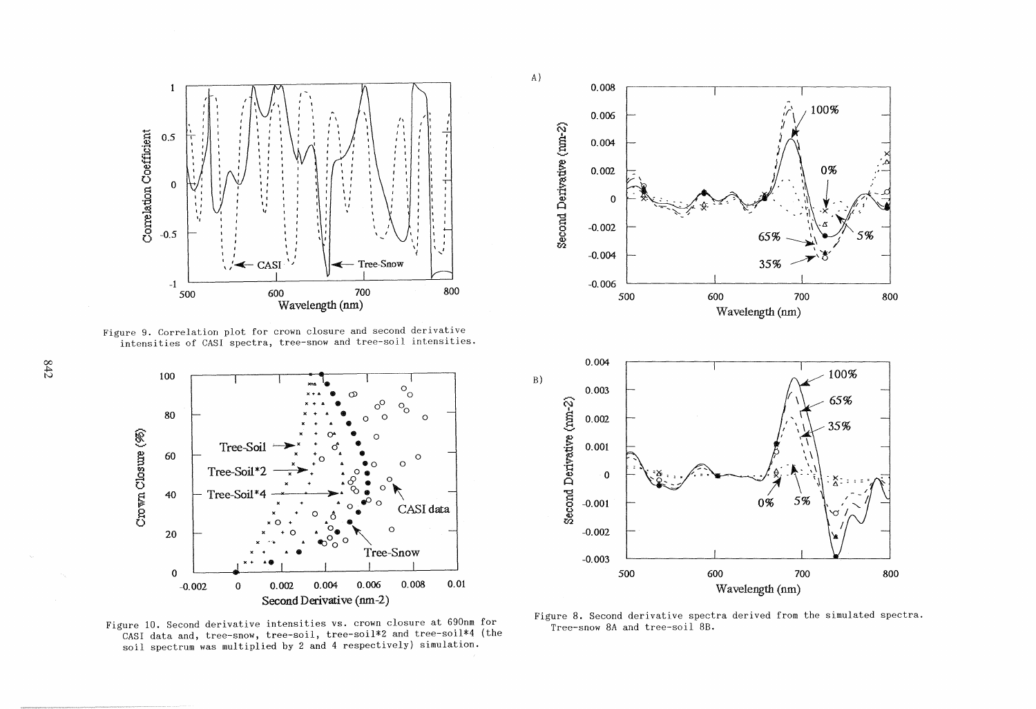

Figure 9. Correlation plot for crown closure and second derivative intensities of CASI spectra, tree-snow and tree-soil intensities.



Figure 10. Second derivative intensities vs. crown closure at 690nm for CASI data and, tree-snow, tree-soil, tree-soil\*2 and tree-soil\*4 (the soil spectrum was multiplied by 2 and 4 respectively) simulation.



Figure 8. Second derivative spectra derived from the simulated spectra. Tree-snow 8A and tree-soil 8B.